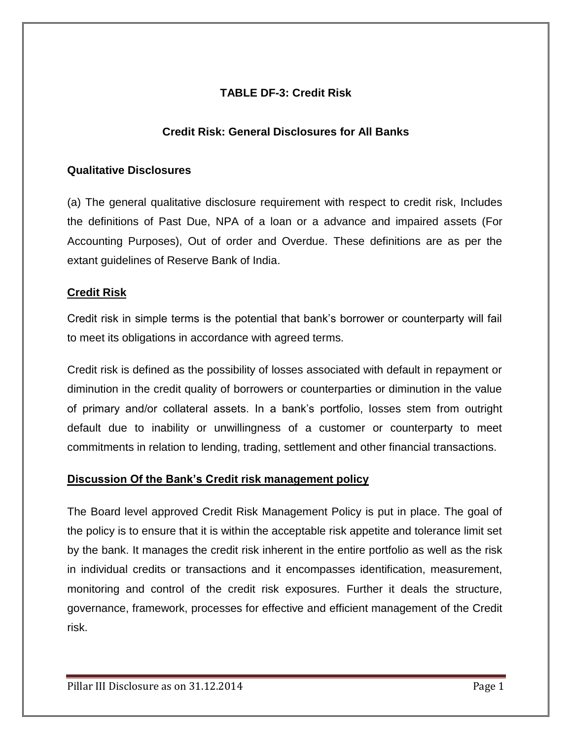# **TABLE DF-3: Credit Risk**

### **Credit Risk: General Disclosures for All Banks**

#### **Qualitative Disclosures**

(a) The general qualitative disclosure requirement with respect to credit risk, Includes the definitions of Past Due, NPA of a loan or a advance and impaired assets (For Accounting Purposes), Out of order and Overdue. These definitions are as per the extant guidelines of Reserve Bank of India.

#### **Credit Risk**

Credit risk in simple terms is the potential that bank's borrower or counterparty will fail to meet its obligations in accordance with agreed terms.

Credit risk is defined as the possibility of losses associated with default in repayment or diminution in the credit quality of borrowers or counterparties or diminution in the value of primary and/or collateral assets. In a bank's portfolio, losses stem from outright default due to inability or unwillingness of a customer or counterparty to meet commitments in relation to lending, trading, settlement and other financial transactions.

#### **Discussion Of the Bank's Credit risk management policy**

The Board level approved Credit Risk Management Policy is put in place. The goal of the policy is to ensure that it is within the acceptable risk appetite and tolerance limit set by the bank. It manages the credit risk inherent in the entire portfolio as well as the risk in individual credits or transactions and it encompasses identification, measurement, monitoring and control of the credit risk exposures. Further it deals the structure, governance, framework, processes for effective and efficient management of the Credit risk.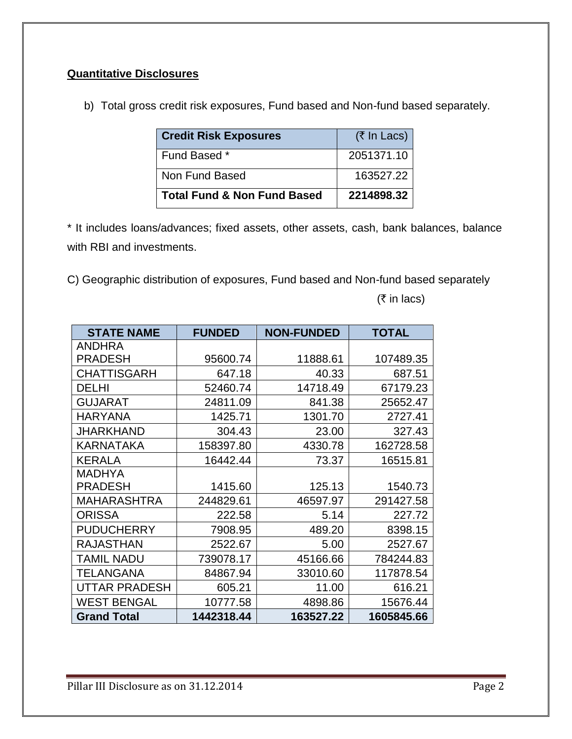# **Quantitative Disclosures**

b) Total gross credit risk exposures, Fund based and Non-fund based separately.

| <b>Credit Risk Exposures</b>           | $(7 \text{ In}$ Lacs) |
|----------------------------------------|-----------------------|
| Fund Based *                           | 2051371.10            |
| Non Fund Based                         | 163527.22             |
| <b>Total Fund &amp; Non Fund Based</b> | 2214898.32            |

\* It includes loans/advances; fixed assets, other assets, cash, bank balances, balance with RBI and investments.

C) Geographic distribution of exposures, Fund based and Non-fund based separately

 $($ ₹ in lacs)

| <b>STATE NAME</b>    | <b>FUNDED</b> | <b>NON-FUNDED</b> | <b>TOTAL</b> |
|----------------------|---------------|-------------------|--------------|
| <b>ANDHRA</b>        |               |                   |              |
| <b>PRADESH</b>       | 95600.74      | 11888.61          | 107489.35    |
| <b>CHATTISGARH</b>   | 647.18        | 40.33             | 687.51       |
| <b>DELHI</b>         | 52460.74      | 14718.49          | 67179.23     |
| <b>GUJARAT</b>       | 24811.09      | 841.38            | 25652.47     |
| <b>HARYANA</b>       | 1425.71       | 1301.70           | 2727.41      |
| JHARKHAND            | 304.43        | 23.00             | 327.43       |
| KARNATAKA            | 158397.80     | 4330.78           | 162728.58    |
| <b>KERALA</b>        | 16442.44      | 73.37             | 16515.81     |
| MADHYA               |               |                   |              |
| <b>PRADESH</b>       | 1415.60       | 125.13            | 1540.73      |
| <b>MAHARASHTRA</b>   | 244829.61     | 46597.97          | 291427.58    |
| <b>ORISSA</b>        | 222.58        | 5.14              | 227.72       |
| <b>PUDUCHERRY</b>    | 7908.95       | 489.20            | 8398.15      |
| <b>RAJASTHAN</b>     | 2522.67       | 5.00              | 2527.67      |
| TAMIL NADU           | 739078.17     | 45166.66          | 784244.83    |
| <b>TELANGANA</b>     | 84867.94      | 33010.60          | 117878.54    |
| <b>UTTAR PRADESH</b> | 605.21        | 11.00             | 616.21       |
| <b>WEST BENGAL</b>   | 10777.58      | 4898.86           | 15676.44     |
| <b>Grand Total</b>   | 1442318.44    | 163527.22         | 1605845.66   |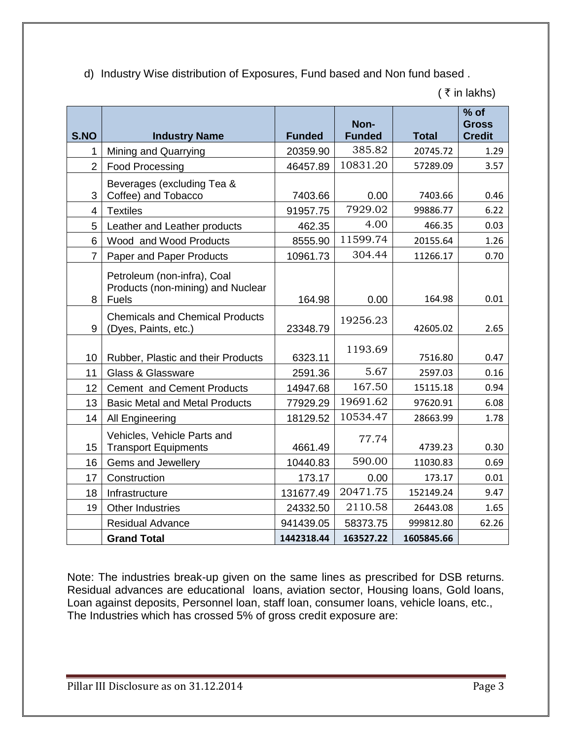| d) Industry Wise distribution of Exposures, Fund based and Non fund based. |  |  |  |
|----------------------------------------------------------------------------|--|--|--|
|                                                                            |  |  |  |

|                |                                                                                  |               | Non-          |              | $%$ of<br><b>Gross</b> |
|----------------|----------------------------------------------------------------------------------|---------------|---------------|--------------|------------------------|
| S.NO           | <b>Industry Name</b>                                                             | <b>Funded</b> | <b>Funded</b> | <b>Total</b> | <b>Credit</b>          |
| 1              | Mining and Quarrying                                                             | 20359.90      | 385.82        | 20745.72     | 1.29                   |
| $\overline{2}$ | <b>Food Processing</b>                                                           | 46457.89      | 10831.20      | 57289.09     | 3.57                   |
| 3              | Beverages (excluding Tea &<br>Coffee) and Tobacco                                | 7403.66       | 0.00          | 7403.66      | 0.46                   |
| 4              | <b>Textiles</b>                                                                  | 91957.75      | 7929.02       | 99886.77     | 6.22                   |
| 5              | Leather and Leather products                                                     | 462.35        | 4.00          | 466.35       | 0.03                   |
| 6              | Wood and Wood Products                                                           | 8555.90       | 11599.74      | 20155.64     | 1.26                   |
| $\overline{7}$ | Paper and Paper Products                                                         | 10961.73      | 304.44        | 11266.17     | 0.70                   |
| 8              | Petroleum (non-infra), Coal<br>Products (non-mining) and Nuclear<br><b>Fuels</b> | 164.98        | 0.00          | 164.98       | 0.01                   |
| 9              | <b>Chemicals and Chemical Products</b><br>(Dyes, Paints, etc.)                   | 23348.79      | 19256.23      | 42605.02     | 2.65                   |
| 10             | Rubber, Plastic and their Products                                               | 6323.11       | 1193.69       | 7516.80      | 0.47                   |
| 11             | <b>Glass &amp; Glassware</b>                                                     | 2591.36       | 5.67          | 2597.03      | 0.16                   |
| 12             | <b>Cement and Cement Products</b>                                                | 14947.68      | 167.50        | 15115.18     | 0.94                   |
| 13             | <b>Basic Metal and Metal Products</b>                                            | 77929.29      | 19691.62      | 97620.91     | 6.08                   |
| 14             | All Engineering                                                                  | 18129.52      | 10534.47      | 28663.99     | 1.78                   |
| 15             | Vehicles, Vehicle Parts and<br><b>Transport Equipments</b>                       | 4661.49       | 77.74         | 4739.23      | 0.30                   |
| 16             | Gems and Jewellery                                                               | 10440.83      | 590.00        | 11030.83     | 0.69                   |
| 17             | Construction                                                                     | 173.17        | 0.00          | 173.17       | 0.01                   |
| 18             | Infrastructure                                                                   | 131677.49     | 20471.75      | 152149.24    | 9.47                   |
| 19             | <b>Other Industries</b>                                                          | 24332.50      | 2110.58       | 26443.08     | 1.65                   |
|                | <b>Residual Advance</b>                                                          | 941439.05     | 58373.75      | 999812.80    | 62.26                  |
|                | <b>Grand Total</b>                                                               | 1442318.44    | 163527.22     | 1605845.66   |                        |

 $($   $\bar{z}$  in lakhs)

Note: The industries break-up given on the same lines as prescribed for DSB returns. Residual advances are educational loans, aviation sector, Housing loans, Gold loans, Loan against deposits, Personnel loan, staff loan, consumer loans, vehicle loans, etc., The Industries which has crossed 5% of gross credit exposure are: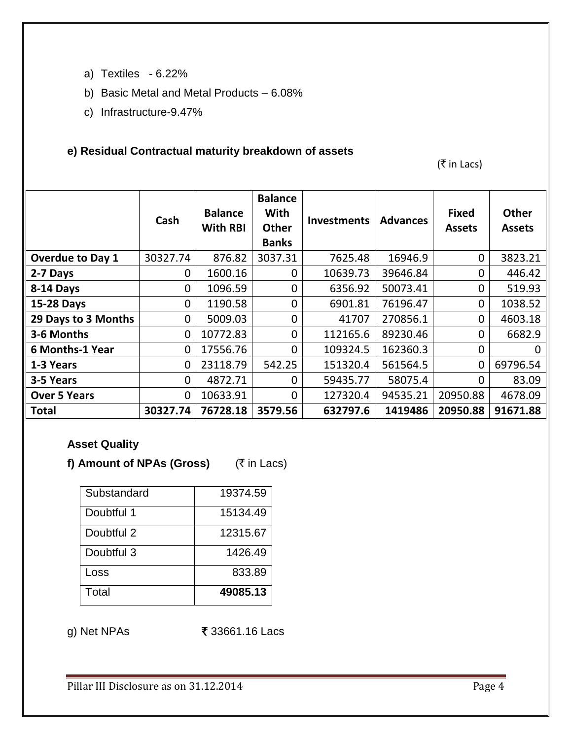- a) Textiles 6.22%
- b) Basic Metal and Metal Products 6.08%
- c) Infrastructure-9.47%

### **e) Residual Contractual maturity breakdown of assets**

 $(\bar{\bar{\tau}}$  in Lacs)

|                         | Cash           | <b>Balance</b><br><b>With RBI</b> | <b>Balance</b><br>With<br><b>Other</b><br><b>Banks</b> | <b>Investments</b> | <b>Advances</b> | <b>Fixed</b><br><b>Assets</b> | <b>Other</b><br><b>Assets</b> |
|-------------------------|----------------|-----------------------------------|--------------------------------------------------------|--------------------|-----------------|-------------------------------|-------------------------------|
| <b>Overdue to Day 1</b> | 30327.74       | 876.82                            | 3037.31                                                | 7625.48            | 16946.9         | $\mathbf{0}$                  | 3823.21                       |
| 2-7 Days                | 0              | 1600.16                           | $\mathbf 0$                                            | 10639.73           | 39646.84        | $\Omega$                      | 446.42                        |
| 8-14 Days               | $\overline{0}$ | 1096.59                           | $\mathbf 0$                                            | 6356.92            | 50073.41        | $\mathbf 0$                   | 519.93                        |
| 15-28 Days              | $\mathbf{0}$   | 1190.58                           | $\mathbf 0$                                            | 6901.81            | 76196.47        | $\mathbf 0$                   | 1038.52                       |
| 29 Days to 3 Months     | $\overline{0}$ | 5009.03                           | 0                                                      | 41707              | 270856.1        | $\mathbf{0}$                  | 4603.18                       |
| 3-6 Months              | $\overline{0}$ | 10772.83                          | $\overline{0}$                                         | 112165.6           | 89230.46        | $\mathbf{0}$                  | 6682.9                        |
| <b>6 Months-1 Year</b>  | 0              | 17556.76                          | $\overline{0}$                                         | 109324.5           | 162360.3        | $\mathbf{0}$                  | O                             |
| 1-3 Years               | $\mathbf 0$    | 23118.79                          | 542.25                                                 | 151320.4           | 561564.5        | $\overline{0}$                | 69796.54                      |
| 3-5 Years               | $\overline{0}$ | 4872.71                           | $\overline{0}$                                         | 59435.77           | 58075.4         | $\Omega$                      | 83.09                         |
| <b>Over 5 Years</b>     | $\overline{0}$ | 10633.91                          | $\mathbf 0$                                            | 127320.4           | 94535.21        | 20950.88                      | 4678.09                       |
| <b>Total</b>            | 30327.74       | 76728.18                          | 3579.56                                                | 632797.6           | 1419486         | 20950.88                      | 91671.88                      |

# **Asset Quality**

f) Amount of NPAs (Gross) ( $\bar{\tau}$  in Lacs)

| Substandard | 19374.59 |
|-------------|----------|
| Doubtful 1  | 15134.49 |
| Doubtful 2  | 12315.67 |
| Doubtful 3  | 1426.49  |
| Loss        | 833.89   |
| Total       | 49085.13 |

g) Net NPAs **₹** 33661.16 Lacs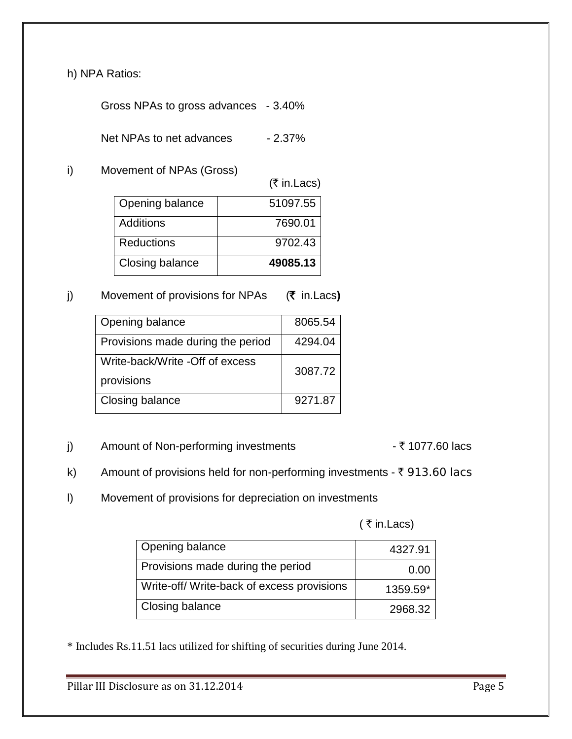h) NPA Ratios:

Gross NPAs to gross advances - 3.40%

Net NPAs to net advances - 2.37%

i) Movement of NPAs (Gross)

 $($ ₹ in.Lacs)

| Opening balance   | 51097.55 |
|-------------------|----------|
| <b>Additions</b>  | 7690.01  |
| <b>Reductions</b> | 9702.43  |
| Closing balance   | 49085.13 |

## j) Movement of provisions for NPAs (₹ in.Lacs)

| Opening balance                   | 8065.54 |
|-----------------------------------|---------|
| Provisions made during the period | 4294.04 |
| Write-back/Write -Off of excess   | 3087.72 |
| provisions                        |         |
| Closing balance                   | 9271.87 |

## j) Amount of Non-performing investments  $\overline{\tau}$  1077.60 lacs

- k) Amount of provisions held for non-performing investments  $\bar{\tau}$  913.60 lacs
- l) Movement of provisions for depreciation on investments

 $($   $\bar{z}$  in. Lacs)

| Opening balance                           | 4327.91  |
|-------------------------------------------|----------|
| Provisions made during the period         | 0.00     |
| Write-off/Write-back of excess provisions | 1359.59* |
| Closing balance                           | 2968.32  |

\* Includes Rs.11.51 lacs utilized for shifting of securities during June 2014.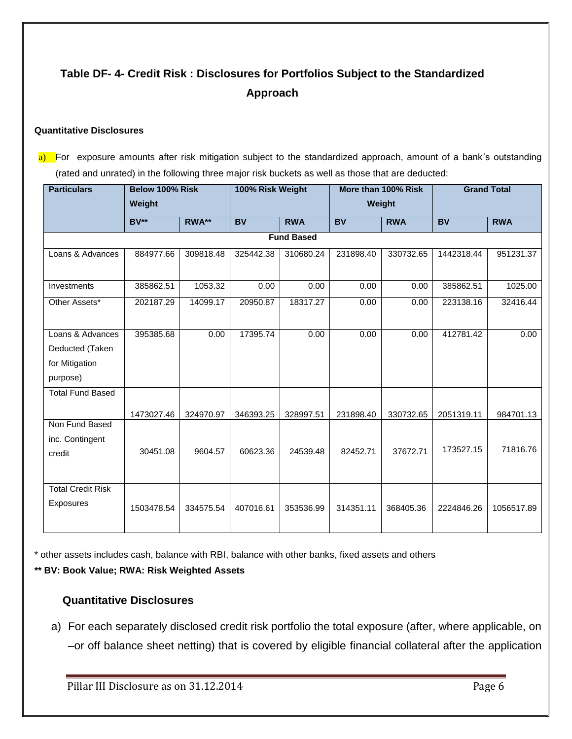# **Table DF- 4- Credit Risk : Disclosures for Portfolios Subject to the Standardized Approach**

#### **Quantitative Disclosures**

a) For exposure amounts after risk mitigation subject to the standardized approach, amount of a bank's outstanding (rated and unrated) in the following three major risk buckets as well as those that are deducted:

| <b>Particulars</b>       | Below 100% Risk |           |           | 100% Risk Weight<br>More than 100% Risk |           |            | <b>Grand Total</b> |            |
|--------------------------|-----------------|-----------|-----------|-----------------------------------------|-----------|------------|--------------------|------------|
|                          | Weight          |           |           |                                         | Weight    |            |                    |            |
|                          | $BV**$          | RWA**     | <b>BV</b> | <b>RWA</b>                              | <b>BV</b> | <b>RWA</b> | <b>BV</b>          | <b>RWA</b> |
|                          |                 |           |           | <b>Fund Based</b>                       |           |            |                    |            |
| Loans & Advances         | 884977.66       | 309818.48 | 325442.38 | 310680.24                               | 231898.40 | 330732.65  | 1442318.44         | 951231.37  |
|                          |                 |           |           |                                         |           |            |                    |            |
| Investments              | 385862.51       | 1053.32   | 0.00      | 0.00                                    | 0.00      | 0.00       | 385862.51          | 1025.00    |
| Other Assets*            | 202187.29       | 14099.17  | 20950.87  | 18317.27                                | 0.00      | 0.00       | 223138.16          | 32416.44   |
|                          |                 |           |           |                                         |           |            |                    |            |
| Loans & Advances         | 395385.68       | 0.00      | 17395.74  | 0.00                                    | 0.00      | 0.00       | 412781.42          | 0.00       |
| Deducted (Taken          |                 |           |           |                                         |           |            |                    |            |
| for Mitigation           |                 |           |           |                                         |           |            |                    |            |
| purpose)                 |                 |           |           |                                         |           |            |                    |            |
| <b>Total Fund Based</b>  |                 |           |           |                                         |           |            |                    |            |
|                          | 1473027.46      | 324970.97 | 346393.25 | 328997.51                               | 231898.40 | 330732.65  | 2051319.11         | 984701.13  |
| Non Fund Based           |                 |           |           |                                         |           |            |                    |            |
| inc. Contingent          |                 |           |           |                                         |           |            |                    |            |
| credit                   | 30451.08        | 9604.57   | 60623.36  | 24539.48                                | 82452.71  | 37672.71   | 173527.15          | 71816.76   |
|                          |                 |           |           |                                         |           |            |                    |            |
| <b>Total Credit Risk</b> |                 |           |           |                                         |           |            |                    |            |
| Exposures                | 1503478.54      | 334575.54 | 407016.61 | 353536.99                               | 314351.11 | 368405.36  | 2224846.26         | 1056517.89 |
|                          |                 |           |           |                                         |           |            |                    |            |

\* other assets includes cash, balance with RBI, balance with other banks, fixed assets and others

#### **\*\* BV: Book Value; RWA: Risk Weighted Assets**

#### **Quantitative Disclosures**

a) For each separately disclosed credit risk portfolio the total exposure (after, where applicable, on –or off balance sheet netting) that is covered by eligible financial collateral after the application